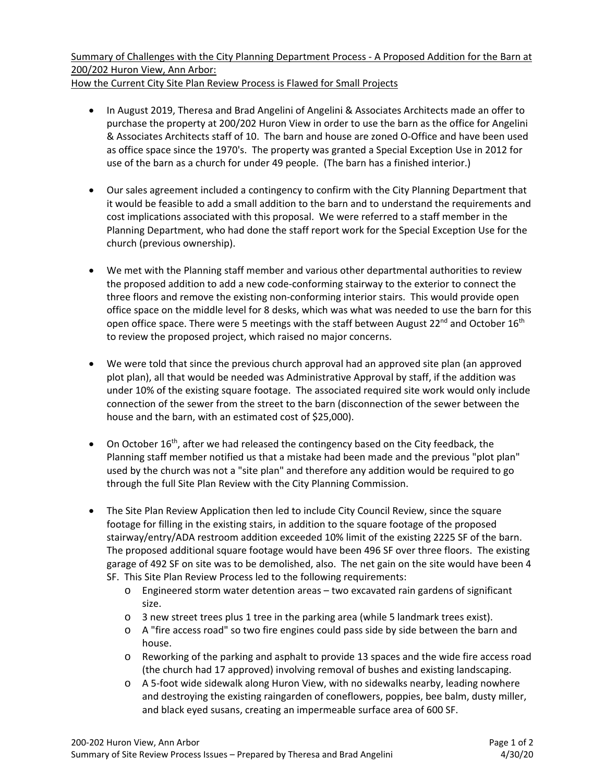Summary of Challenges with the City Planning Department Process ‐ A Proposed Addition for the Barn at 200/202 Huron View, Ann Arbor: How the Current City Site Plan Review Process is Flawed for Small Projects

- In August 2019, Theresa and Brad Angelini of Angelini & Associates Architects made an offer to purchase the property at 200/202 Huron View in order to use the barn as the office for Angelini & Associates Architects staff of 10. The barn and house are zoned O‐Office and have been used as office space since the 1970's. The property was granted a Special Exception Use in 2012 for use of the barn as a church for under 49 people. (The barn has a finished interior.)
- Our sales agreement included a contingency to confirm with the City Planning Department that it would be feasible to add a small addition to the barn and to understand the requirements and cost implications associated with this proposal. We were referred to a staff member in the Planning Department, who had done the staff report work for the Special Exception Use for the church (previous ownership).
- We met with the Planning staff member and various other departmental authorities to review the proposed addition to add a new code‐conforming stairway to the exterior to connect the three floors and remove the existing non‐conforming interior stairs. This would provide open office space on the middle level for 8 desks, which was what was needed to use the barn for this open office space. There were 5 meetings with the staff between August 22<sup>nd</sup> and October 16<sup>th</sup> to review the proposed project, which raised no major concerns.
- We were told that since the previous church approval had an approved site plan (an approved plot plan), all that would be needed was Administrative Approval by staff, if the addition was under 10% of the existing square footage. The associated required site work would only include connection of the sewer from the street to the barn (disconnection of the sewer between the house and the barn, with an estimated cost of \$25,000).
- $\bullet$  On October 16<sup>th</sup>, after we had released the contingency based on the City feedback, the Planning staff member notified us that a mistake had been made and the previous "plot plan" used by the church was not a "site plan" and therefore any addition would be required to go through the full Site Plan Review with the City Planning Commission.
- The Site Plan Review Application then led to include City Council Review, since the square footage for filling in the existing stairs, in addition to the square footage of the proposed stairway/entry/ADA restroom addition exceeded 10% limit of the existing 2225 SF of the barn. The proposed additional square footage would have been 496 SF over three floors. The existing garage of 492 SF on site was to be demolished, also. The net gain on the site would have been 4 SF. This Site Plan Review Process led to the following requirements:
	- o Engineered storm water detention areas two excavated rain gardens of significant size.
	- o 3 new street trees plus 1 tree in the parking area (while 5 landmark trees exist).
	- o A "fire access road" so two fire engines could pass side by side between the barn and house.
	- o Reworking of the parking and asphalt to provide 13 spaces and the wide fire access road (the church had 17 approved) involving removal of bushes and existing landscaping.
	- $\circ$  A 5-foot wide sidewalk along Huron View, with no sidewalks nearby, leading nowhere and destroying the existing raingarden of coneflowers, poppies, bee balm, dusty miller, and black eyed susans, creating an impermeable surface area of 600 SF.